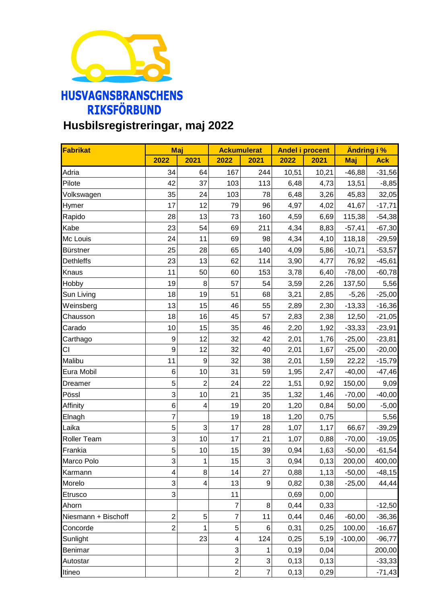

## **Husbilsregistreringar, maj 2022**

| Fabrikat            | Maj              |                | <b>Ackumulerat</b> |                | <b>Andel i procent</b> |       | <b>Ändring i %</b> |            |
|---------------------|------------------|----------------|--------------------|----------------|------------------------|-------|--------------------|------------|
|                     | 2022             | 2021           | 2022               | 2021           | 2022                   | 2021  | Maj                | <b>Ack</b> |
| Adria               | 34               | 64             | 167                | 244            | 10,51                  | 10,21 | $-46,88$           | $-31,56$   |
| Pilote              | 42               | 37             | 103                | 113            | 6,48                   | 4,73  | 13,51              | $-8,85$    |
| Volkswagen          | 35               | 24             | 103                | 78             | 6,48                   | 3,26  | 45,83              | 32,05      |
| Hymer               | 17               | 12             | 79                 | 96             | 4,97                   | 4,02  | 41,67              | $-17,71$   |
| Rapido              | 28               | 13             | 73                 | 160            | 4,59                   | 6,69  | 115,38             | $-54,38$   |
| Kabe                | 23               | 54             | 69                 | 211            | 4,34                   | 8,83  | $-57,41$           | $-67,30$   |
| Mc Louis            | 24               | 11             | 69                 | 98             | 4,34                   | 4,10  | 118,18             | $-29,59$   |
| <b>Bürstner</b>     | 25               | 28             | 65                 | 140            | 4,09                   | 5,86  | $-10,71$           | $-53,57$   |
| <b>Dethleffs</b>    | 23               | 13             | 62                 | 114            | 3,90                   | 4,77  | 76,92              | $-45,61$   |
| Knaus               | 11               | 50             | 60                 | 153            | 3,78                   | 6,40  | $-78,00$           | $-60,78$   |
| Hobby               | 19               | 8              | 57                 | 54             | 3,59                   | 2,26  | 137,50             | 5,56       |
| Sun Living          | 18               | 19             | 51                 | 68             | 3,21                   | 2,85  | $-5,26$            | $-25,00$   |
| Weinsberg           | 13               | 15             | 46                 | 55             | 2,89                   | 2,30  | $-13,33$           | $-16,36$   |
| Chausson            | 18               | 16             | 45                 | 57             | 2,83                   | 2,38  | 12,50              | $-21,05$   |
| Carado              | 10               | 15             | 35                 | 46             | 2,20                   | 1,92  | $-33,33$           | $-23,91$   |
| Carthago            | $\boldsymbol{9}$ | 12             | 32                 | 42             | 2,01                   | 1,76  | $-25,00$           | $-23,81$   |
| CI                  | $\boldsymbol{9}$ | 12             | 32                 | 40             | 2,01                   | 1,67  | $-25,00$           | $-20,00$   |
| Malibu              | 11               | 9              | 32                 | 38             | 2,01                   | 1,59  | 22,22              | $-15,79$   |
| Eura Mobil          | $\,6$            | 10             | 31                 | 59             | 1,95                   | 2,47  | $-40,00$           | $-47,46$   |
| Dreamer             | 5                | $\overline{c}$ | 24                 | 22             | 1,51                   | 0,92  | 150,00             | 9,09       |
| Pössl               | 3                | 10             | 21                 | 35             | 1,32                   | 1,46  | $-70,00$           | $-40,00$   |
| Affinity            | 6                | 4              | 19                 | 20             | 1,20                   | 0,84  | 50,00              | $-5,00$    |
| Elnagh              | $\overline{7}$   |                | 19                 | 18             | 1,20                   | 0,75  |                    | 5,56       |
| Laika               | 5                | $\mathbf{3}$   | 17                 | 28             | 1,07                   | 1,17  | 66,67              | $-39,29$   |
| Roller Team         | 3                | 10             | 17                 | 21             | 1,07                   | 0,88  | $-70,00$           | $-19,05$   |
| Frankia             | 5                | 10             | 15                 | 39             | 0,94                   | 1,63  | $-50,00$           | $-61,54$   |
| Marco Polo          | 3                | $\mathbf{1}$   | 15                 | $\overline{3}$ | 0,94                   | 0,13  | 200,00             | 400,00     |
| Karmann             | 4                | 8              | 14                 | 27             | 0,88                   | 1,13  | $-50,00$           | $-48,15$   |
| Morelo              | 3                | 4              | 13                 | 9              | 0,82                   | 0,38  | $-25,00$           | 44,44      |
| Etrusco             | 3                |                | 11                 |                | 0,69                   | 0,00  |                    |            |
| Ahorn               |                  |                | 7                  | 8              | 0,44                   | 0,33  |                    | $-12,50$   |
| Niesmann + Bischoff | $\overline{c}$   | $\mathbf 5$    | $\overline{7}$     | 11             | 0,44                   | 0,46  | $-60,00$           | $-36,36$   |
| Concorde            | $\overline{2}$   | 1              | 5                  | 6              | 0,31                   | 0,25  | 100,00             | $-16,67$   |
| Sunlight            |                  | 23             | 4                  | 124            | 0,25                   | 5,19  | $-100,00$          | $-96,77$   |
| Benimar             |                  |                | 3                  | 1              | 0,19                   | 0,04  |                    | 200,00     |
| Autostar            |                  |                | $\overline{c}$     | $\mathbf{3}$   | 0,13                   | 0, 13 |                    | $-33,33$   |
| Itineo              |                  |                | $\overline{2}$     | $\overline{7}$ | 0,13                   | 0,29  |                    | $-71,43$   |